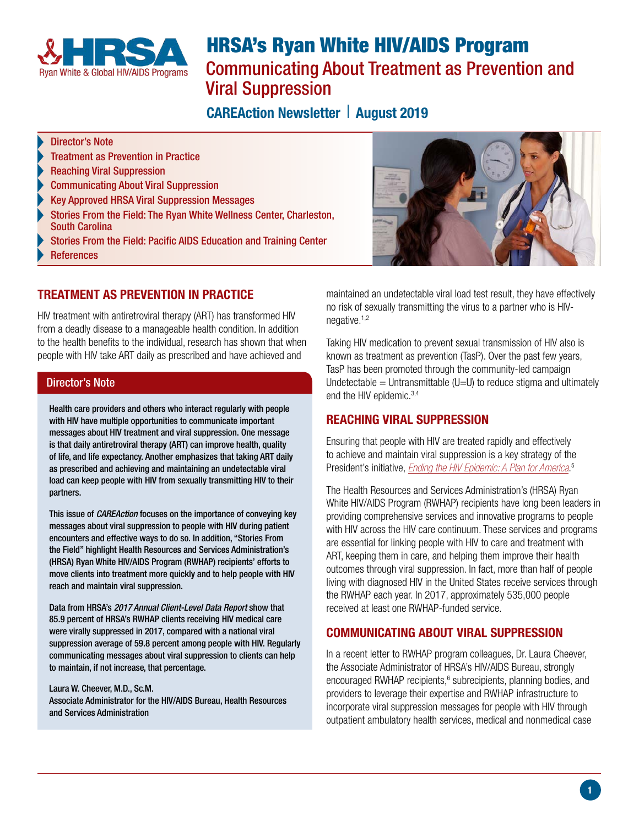

# HRSA's Ryan White HIV/AIDS Program Communicating About Treatment as Prevention and Viral Suppression

# **CAREAction Newsletter | August 2019**

#### Director's Note

- [Treatment as Prevention in Practice](#page-0-0)
- [Reaching Viral Suppression](#page-0-1)
- [Communicating About Viral Suppression](#page-0-2)
- [Key Approved HRSA Viral Suppression Messages](#page-1-0)
- [Stories From the Field: The Ryan White Wellness Center, Charleston,](#page-1-1)  [South Carolina](#page-1-1)
- [Stories From the Field: Pacific AIDS Education and Training Center](#page-2-0)
- **[References](#page-2-1)**

# <span id="page-0-0"></span>[TREATMENT AS PREVENTION IN PRACTICE](#page-0-0)

HIV treatment with antiretroviral therapy (ART) has transformed HIV from a deadly disease to a manageable health condition. In addition to the health benefits to the individual, research has shown that when people with HIV take ART daily as prescribed and have achieved and

#### Director's Note

Health care providers and others who interact regularly with people with HIV have multiple opportunities to communicate important messages about HIV treatment and viral suppression. One message is that daily antiretroviral therapy (ART) can improve health, quality of life, and life expectancy. Another emphasizes that taking ART daily as prescribed and achieving and maintaining an undetectable viral load can keep people with HIV from sexually transmitting HIV to their partners.

This issue of *CAREAction* focuses on the importance of conveying key messages about viral suppression to people with HIV during patient encounters and effective ways to do so. In addition, "Stories From the Field" highlight Health Resources and Services Administration's (HRSA) Ryan White HIV/AIDS Program (RWHAP) recipients' efforts to move clients into treatment more quickly and to help people with HIV reach and maintain viral suppression.

Data from HRSA's *2017 Annual Client-Level Data Report* show that 85.9 percent of HRSA's RWHAP clients receiving HIV medical care were virally suppressed in 2017, compared with a national viral suppression average of 59.8 percent among people with HIV. Regularly communicating messages about viral suppression to clients can help to maintain, if not increase, that percentage.

Laura W. Cheever, M.D., Sc.M. Associate Administrator for the HIV/AIDS Bureau, Health Resources and Services Administration



maintained an undetectable viral load test result, they have effectively no risk of sexually transmitting the virus to a partner who is HIV-negative.<sup>[1,2](#page-2-2)</sup>

Taking HIV medication to prevent sexual transmission of HIV also is known as treatment as prevention (TasP). Over the past few years, TasP has been promoted through the community-led campaign Undetectable  $=$  Untransmittable (U=U) to reduce stigma and ultimately end the HIV epidemic.<sup>3,4</sup>

# <span id="page-0-1"></span>[REACHING VIRAL SUPPRESSION](#page-0-1)

Ensuring that people with HIV are treated rapidly and effectively to achieve and maintain viral suppression is a key strategy of the President's initiative, *[Ending the HIV Epidemic: A Plan for America](https://www.hiv.gov/federal-response/ending-the-hiv-epidemic/overview)*. [5](#page-2-3)

The Health Resources and Services Administration's (HRSA) Ryan White HIV/AIDS Program (RWHAP) recipients have long been leaders in providing comprehensive services and innovative programs to people with HIV across the HIV care continuum. These services and programs are essential for linking people with HIV to care and treatment with ART, keeping them in care, and helping them improve their health outcomes through viral suppression. In fact, more than half of people living with diagnosed HIV in the United States receive services through the RWHAP each year. In 2017, approximately 535,000 people received at least one RWHAP-funded service.

# <span id="page-0-2"></span>[COMMUNICATING ABOUT VIRAL SUPPRESSION](#page-0-2)

In a recent letter to RWHAP program colleagues, Dr. Laura Cheever, the Associate Administrator of HRSA's HIV/AIDS Bureau, strongly encouraged RWHAP recipients, $6$  subrecipients, planning bodies, and providers to leverage their expertise and RWHAP infrastructure to incorporate viral suppression messages for people with HIV through outpatient ambulatory health services, medical and nonmedical case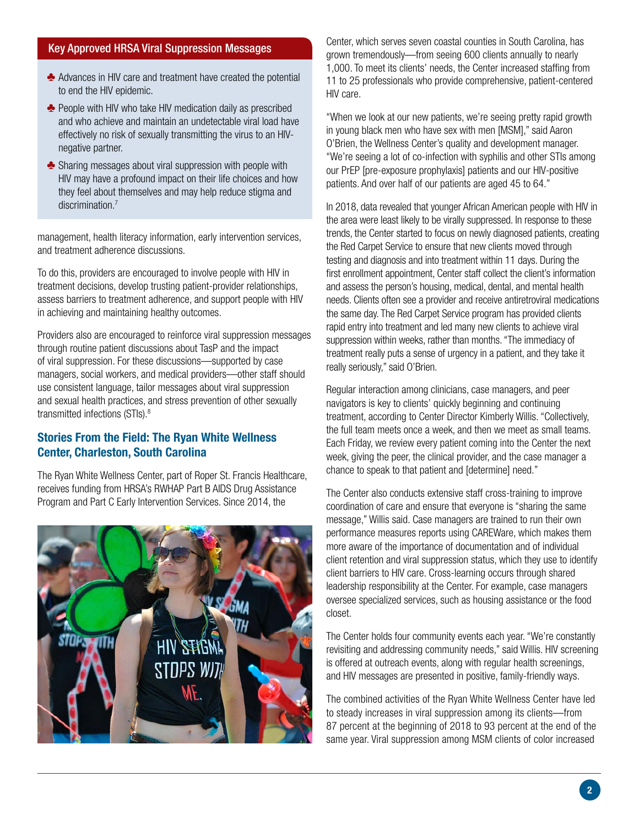### <span id="page-1-0"></span>[Key Approved HRSA Viral Suppression Messages](#page-1-0)

- $\triangle$  Advances in HIV care and treatment have created the potential to end the HIV epidemic.
- $\triangle$  People with HIV who take HIV medication daily as prescribed and who achieve and maintain an undetectable viral load have effectively no risk of sexually transmitting the virus to an HIVnegative partner.
- $\triangle$  Sharing messages about viral suppression with people with HIV may have a profound impact on their life choices and how they feel about themselves and may help reduce stigma and discrimination.<sup>7</sup>

management, health literacy information, early intervention services, and treatment adherence discussions.

To do this, providers are encouraged to involve people with HIV in treatment decisions, develop trusting patient-provider relationships, assess barriers to treatment adherence, and support people with HIV in achieving and maintaining healthy outcomes.

Providers also are encouraged to reinforce viral suppression messages through routine patient discussions about TasP and the impact of viral suppression. For these discussions—supported by case managers, social workers, and medical providers—other staff should use consistent language, tailor messages about viral suppression and sexual health practices, and stress prevention of other sexually transmitted infections (STIs).<sup>8</sup>

### <span id="page-1-1"></span>[Stories From the Field: The Ryan White Wellness](#page-1-1)  [Center, Charleston, South Carolina](#page-1-1)

The Ryan White Wellness Center, part of Roper St. Francis Healthcare, receives funding from HRSA's RWHAP Part B AIDS Drug Assistance Program and Part C Early Intervention Services. Since 2014, the



Center, which serves seven coastal counties in South Carolina, has grown tremendously—from seeing 600 clients annually to nearly 1,000. To meet its clients' needs, the Center increased staffing from 11 to 25 professionals who provide comprehensive, patient-centered HIV care.

"When we look at our new patients, we're seeing pretty rapid growth in young black men who have sex with men [MSM]," said Aaron O'Brien, the Wellness Center's quality and development manager. "We're seeing a lot of co-infection with syphilis and other STIs among our PrEP [pre-exposure prophylaxis] patients and our HIV-positive patients. And over half of our patients are aged 45 to 64."

In 2018, data revealed that younger African American people with HIV in the area were least likely to be virally suppressed. In response to these trends, the Center started to focus on newly diagnosed patients, creating the Red Carpet Service to ensure that new clients moved through testing and diagnosis and into treatment within 11 days. During the first enrollment appointment, Center staff collect the client's information and assess the person's housing, medical, dental, and mental health needs. Clients often see a provider and receive antiretroviral medications the same day. The Red Carpet Service program has provided clients rapid entry into treatment and led many new clients to achieve viral suppression within weeks, rather than months. "The immediacy of treatment really puts a sense of urgency in a patient, and they take it really seriously," said O'Brien.

Regular interaction among clinicians, case managers, and peer navigators is key to clients' quickly beginning and continuing treatment, according to Center Director Kimberly Willis. "Collectively, the full team meets once a week, and then we meet as small teams. Each Friday, we review every patient coming into the Center the next week, giving the peer, the clinical provider, and the case manager a chance to speak to that patient and [determine] need."

The Center also conducts extensive staff cross-training to improve coordination of care and ensure that everyone is "sharing the same message," Willis said. Case managers are trained to run their own performance measures reports using CAREWare, which makes them more aware of the importance of documentation and of individual client retention and viral suppression status, which they use to identify client barriers to HIV care. Cross-learning occurs through shared leadership responsibility at the Center. For example, case managers oversee specialized services, such as housing assistance or the food closet.

The Center holds four community events each year. "We're constantly revisiting and addressing community needs," said Willis. HIV screening is offered at outreach events, along with regular health screenings, and HIV messages are presented in positive, family-friendly ways.

The combined activities of the Ryan White Wellness Center have led to steady increases in viral suppression among its clients—from 87 percent at the beginning of 2018 to 93 percent at the end of the same year. Viral suppression among MSM clients of color increased